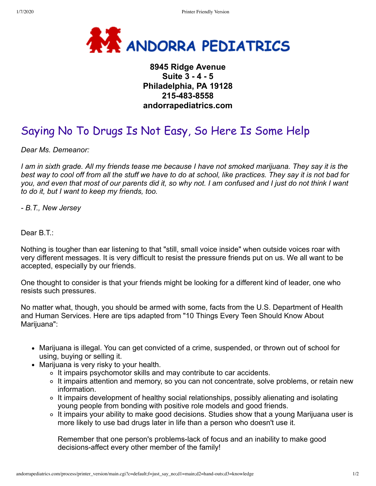

## **8945 Ridge Avenue Suite 3 - 4 - 5 Philadelphia, PA 19128 215-483-8558 andorrapediatrics.com**

## Saying No To Drugs Is Not Easy, So Here Is Some Help

*Dear Ms. Demeanor:*

*I am in sixth grade. All my friends tease me because I have not smoked marijuana. They say it is the best way to cool off from all the stuff we have to do at school, like practices. They say it is not bad for you, and even that most of our parents did it, so why not. I am confused and I just do not think I want to do it, but I want to keep my friends, too.*

*- B.T., New Jersey*

Dear B.T.:

Nothing is tougher than ear listening to that "still, small voice inside" when outside voices roar with very different messages. It is very difficult to resist the pressure friends put on us. We all want to be accepted, especially by our friends.

One thought to consider is that your friends might be looking for a different kind of leader, one who resists such pressures.

No matter what, though, you should be armed with some, facts from the U.S. Department of Health and Human Services. Here are tips adapted from "10 Things Every Teen Should Know About Marijuana":

- Marijuana is illegal. You can get convicted of a crime, suspended, or thrown out of school for using, buying or selling it.
- Marijuana is very risky to your health.
	- It impairs psychomotor skills and may contribute to car accidents.
	- o It impairs attention and memory, so you can not concentrate, solve problems, or retain new information.
	- It impairs development of healthy social relationships, possibly alienating and isolating young people from bonding with positive role models and good friends.
	- It impairs your ability to make good decisions. Studies show that a young Marijuana user is more likely to use bad drugs later in life than a person who doesn't use it.

Remember that one person's problems-lack of focus and an inability to make good decisions-affect every other member of the family!